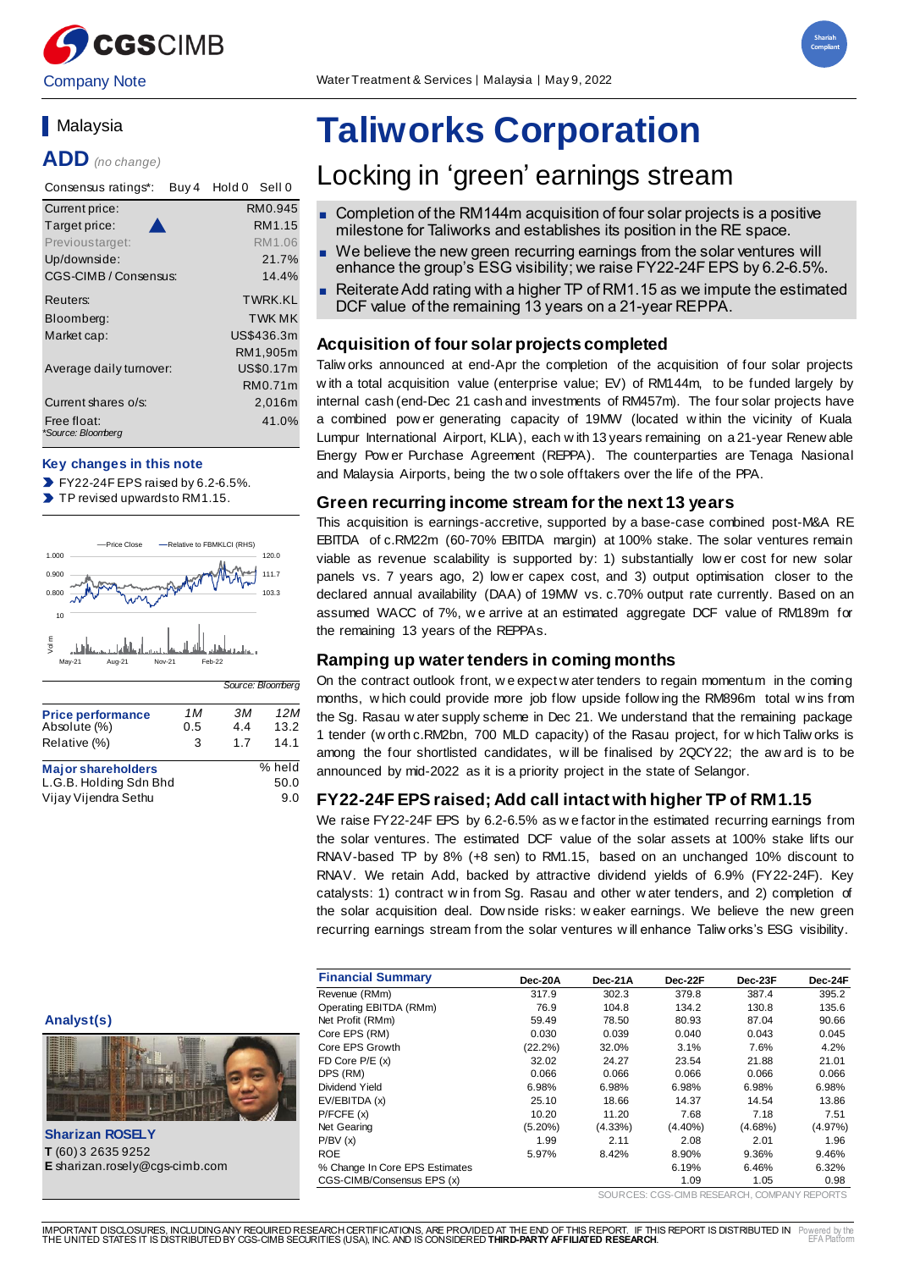



### **Nalavsia**

**ADD** *(no change)*

| Consensus ratings*:<br>Buy 4      | Hold 0<br>Sell 0 |
|-----------------------------------|------------------|
| Current price:                    | RM0.945          |
| Target price:                     | RM1.15           |
| Previoustarget:                   | RM1.06           |
| Up/downside:                      | 21.7%            |
| CGS-CIMB / Consensus:             | 14.4%            |
| Reuters:                          | <b>TWRK KI</b>   |
| Bloomberg:                        | <b>TWK MK</b>    |
| Market cap:                       | US\$436.3m       |
|                                   | RM1,905m         |
| Average daily turnover:           | US\$0.17m        |
|                                   | RM0.71m          |
| Current shares o/s:               | 2,016m           |
| Free float:<br>*Source: Bloomberg | 41.0%            |

#### **Key changes in this note**

 $\blacktriangleright$  FY22-24F EPS raised by 6.2-6.5%.

 $\blacktriangleright$ TP revised upwards to RM1.15.



|                                                                             |                 |                  | Source: Bloomberg     |
|-----------------------------------------------------------------------------|-----------------|------------------|-----------------------|
| <b>Price performance</b><br>Absolute (%)<br>Relative (%)                    | 1 M<br>0.5<br>3 | зм<br>4.4<br>1.7 | 12M<br>13.2<br>14.1   |
| <b>Major shareholders</b><br>L.G.B. Holding Sdn Bhd<br>Vijay Vijendra Sethu |                 |                  | % held<br>50.0<br>9.0 |

# **Taliworks Corporation**

## Locking in 'green' earnings stream

- Completion of the RM144m acquisition of four solar projects is a positive milestone for Taliworks and establishes its position in the RE space.
- We believe the new green recurring earnings from the solar ventures will enhance the group's ESG visibility; we raise FY22-24F EPS by 6.2-6.5%.
- Reiterate Add rating with a higher TP of RM1.15 as we impute the estimated DCF value of the remaining 13 years on a 21-year REPPA.

#### **Acquisition of four solar projects completed**

Taliw orks announced at end-Apr the completion of the acquisition of four solar projects w ith a total acquisition value (enterprise value; EV) of RM144m, to be funded largely by internal cash (end-Dec 21 cash and investments of RM457m). The four solar projects have a combined pow er generating capacity of 19MW (located w ithin the vicinity of Kuala Lumpur International Airport, KLIA), each w ith 13 years remaining on a 21-year Renew able Energy Pow er Purchase Agreement (REPPA). The counterparties are Tenaga Nasional and Malaysia Airports, being the tw o sole offtakers over the life of the PPA.

#### **Green recurring income stream for the next 13 years**

This acquisition is earnings-accretive, supported by a base-case combined post-M&A RE EBITDA of c.RM22m (60-70% EBITDA margin) at 100% stake. The solar ventures remain viable as revenue scalability is supported by: 1) substantially low er cost for new solar panels vs. 7 years ago, 2) low er capex cost, and 3) output optimisation closer to the declared annual availability (DAA) of 19MW vs. c.70% output rate currently. Based on an assumed WACC of 7%, w e arrive at an estimated aggregate DCF value of RM189m for the remaining 13 years of the REPPAs.

#### **Ramping up water tenders in coming months**

On the contract outlook front, w e expect w ater tenders to regain momentum in the coming months, w hich could provide more job flow upside follow ing the RM896m total w ins from the Sg. Rasau w ater supply scheme in Dec 21. We understand that the remaining package 1 tender (w orth c.RM2bn, 700 MLD capacity) of the Rasau project, for w hich Taliw orks is among the four shortlisted candidates, w ill be finalised by 2QCY22; the aw ard is to be announced by mid-2022 as it is a priority project in the state of Selangor.

#### **FY22-24F EPS raised; Add call intact with higher TP of RM1.15**

We raise FY22-24F EPS by 6.2-6.5% as w e factor in the estimated recurring earnings from the solar ventures. The estimated DCF value of the solar assets at 100% stake lifts our RNAV-based TP by 8% (+8 sen) to RM1.15, based on an unchanged 10% discount to RNAV. We retain Add, backed by attractive dividend yields of 6.9% (FY22-24F). Key catalysts: 1) contract w in from Sg. Rasau and other w ater tenders, and 2) completion of the solar acquisition deal. Dow nside risks: w eaker earnings. We believe the new green recurring earnings stream from the solar ventures w ill enhance Taliw orks's ESG visibility.

|                                       | <b>Financial Summary</b>       |            |            |            |            |            |
|---------------------------------------|--------------------------------|------------|------------|------------|------------|------------|
|                                       |                                | Dec-20A    | Dec-21A    | Dec-22F    | Dec-23F    | Dec-24F    |
|                                       | Revenue (RMm)                  | 317.9      | 302.3      | 379.8      | 387.4      | 395.2      |
|                                       | Operating EBITDA (RMm)         | 76.9       | 104.8      | 134.2      | 130.8      | 135.6      |
| Analyst(s)                            | Net Profit (RMm)               | 59.49      | 78.50      | 80.93      | 87.04      | 90.66      |
|                                       | Core EPS (RM)                  | 0.030      | 0.039      | 0.040      | 0.043      | 0.045      |
|                                       | Core EPS Growth                | $(22.2\%)$ | 32.0%      | 3.1%       | 7.6%       | 4.2%       |
|                                       | FD Core P/E (x)                | 32.02      | 24.27      | 23.54      | 21.88      | 21.01      |
|                                       | DPS (RM)                       | 0.066      | 0.066      | 0.066      | 0.066      | 0.066      |
|                                       | Dividend Yield                 | 6.98%      | 6.98%      | 6.98%      | 6.98%      | 6.98%      |
|                                       | EV/EBITDA (x)                  | 25.10      | 18.66      | 14.37      | 14.54      | 13.86      |
|                                       | P/FCFE(x)                      | 10.20      | 11.20      | 7.68       | 7.18       | 7.51       |
|                                       | Net Gearing                    | $(5.20\%)$ | $(4.33\%)$ | $(4.40\%)$ | $(4.68\%)$ | $(4.97\%)$ |
| <b>Sharizan ROSELY</b>                | P/BV(x)                        | 1.99       | 2.11       | 2.08       | 2.01       | 1.96       |
| T (60) 3 2635 9252                    | <b>ROE</b>                     | 5.97%      | 8.42%      | 8.90%      | 9.36%      | 9.46%      |
| <b>E</b> sharizan.rosely@cgs-cimb.com | % Change In Core EPS Estimates |            |            | 6.19%      | 6.46%      | 6.32%      |
|                                       | CGS-CIMB/Consensus EPS (x)     |            |            | 1.09       | 1.05       | 0.98       |

SOURCES: CGS-CIMB RESEARCH, COMPANY REPORTS



**Sharizan ROSELY T** (60) 3 2635 9252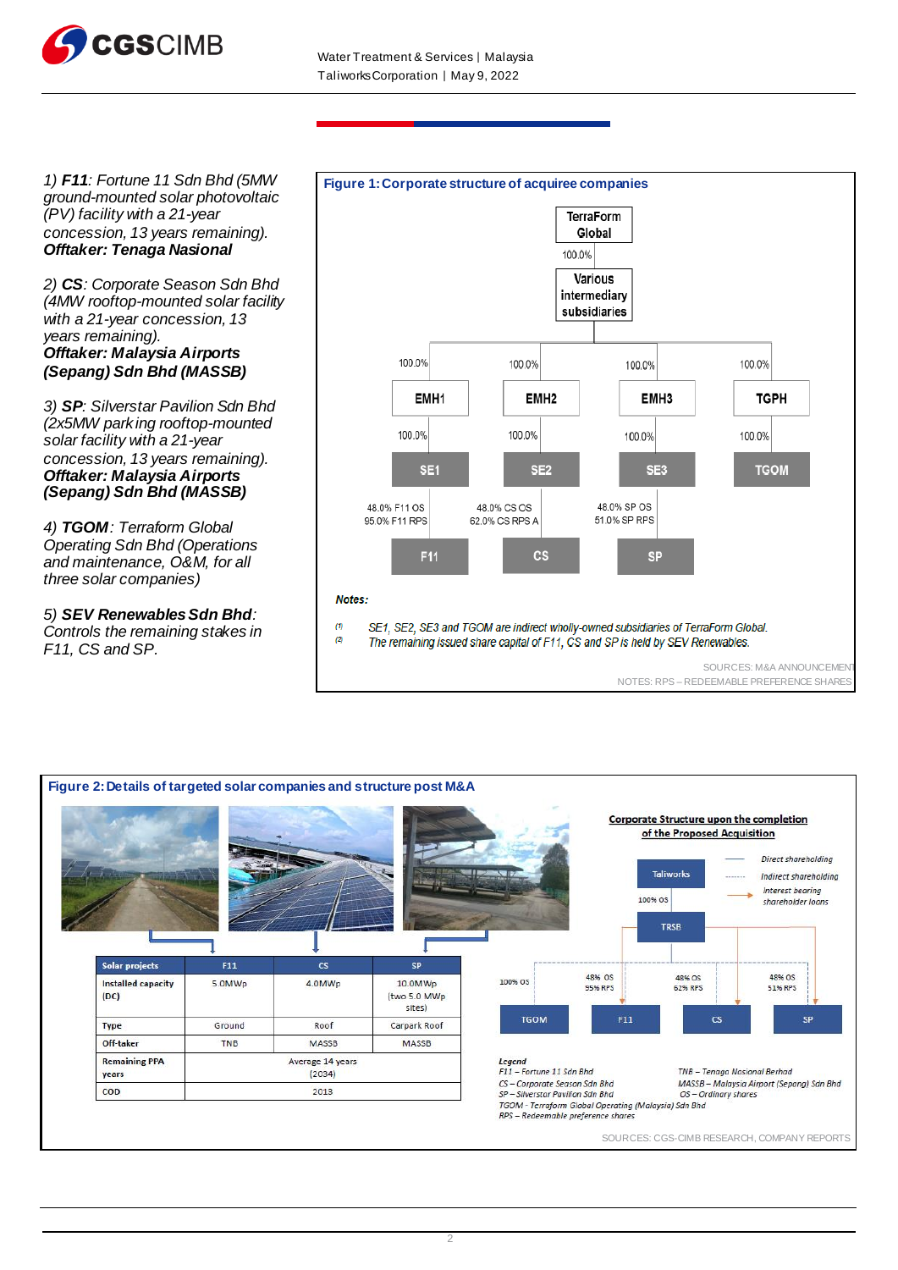

*1) F11: Fortune 11 Sdn Bhd (5MW ground-mounted solar photovoltaic (PV) facility with a 21-year concession, 13 years remaining). Offtaker: Tenaga Nasional*

*2) CS: Corporate Season Sdn Bhd (4MW rooftop-mounted solar facility with a 21-year concession, 13 years remaining). Offtaker: Malaysia Airports (Sepang) Sdn Bhd (MASSB)* 

*3) SP: Silverstar Pavilion Sdn Bhd (2x5MW parking rooftop-mounted solar facility with a 21-year concession, 13 years remaining). Offtaker: Malaysia Airports (Sepang) Sdn Bhd (MASSB)*

*4) TGOM: Terraform Global Operating Sdn Bhd (Operations and maintenance, O&M, for all three solar companies)* 

*5) SEV Renewables Sdn Bhd: Controls the remaining stakes in F11, CS and SP.* 



SOURCES: M&A ANNOUNCEMENT

NOTES: RPS – REDEEMABLE PREFERENCE SHARES

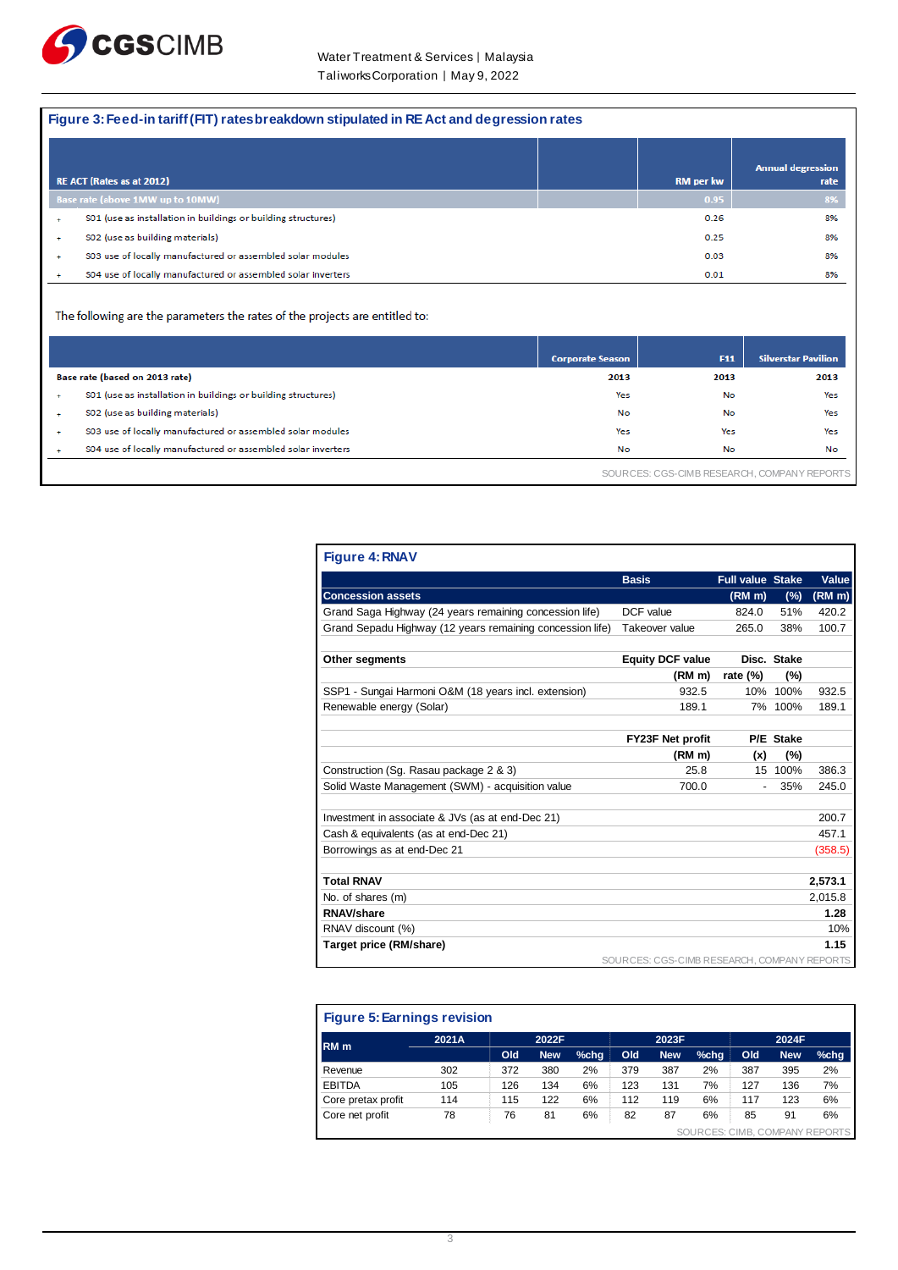

#### **Figure 3: Feed-in tariff (FIT) rates breakdown stipulated in RE Act and degression rates**

|   | <b>RE ACT (Rates as at 2012)</b>                              | <b>RM</b> per kw | <b>Annual degression</b><br>rate |
|---|---------------------------------------------------------------|------------------|----------------------------------|
|   | Base rate (above 1MW up to 10MW)                              | 0.95             | 8%                               |
|   | S01 (use as installation in buildings or building structures) | 0.26             | 8%                               |
|   | SO2 (use as building materials)                               | 0.25             | 8%                               |
| ÷ | S03 use of locally manufactured or assembled solar modules    | 0.03             | 8%                               |
|   | S04 use of locally manufactured or assembled solar inverters  | 0.01             | 8%                               |

The following are the parameters the rates of the projects are entitled to:

|             |                                                               | <b>Corporate Season</b> | <b>F11</b> | <b>Silverstar Pavilion</b> |  |
|-------------|---------------------------------------------------------------|-------------------------|------------|----------------------------|--|
|             | Base rate (based on 2013 rate)                                | 2013                    | 2013       | 2013                       |  |
| ÷           | S01 (use as installation in buildings or building structures) | Yes                     | No         | Yes                        |  |
|             | SO2 (use as building materials)                               | No                      | No         | Yes                        |  |
| $\ddotmark$ | S03 use of locally manufactured or assembled solar modules    | Yes                     | Yes        | Yes                        |  |
| ÷           | S04 use of locally manufactured or assembled solar inverters  | No                      | No         | No                         |  |
|             | SOURCES: CGS-CIMB RESEARCH, COMPANY REPORTS                   |                         |            |                            |  |

| <b>Figure 4: RNAV</b>                                     |                                             |                         |             |              |
|-----------------------------------------------------------|---------------------------------------------|-------------------------|-------------|--------------|
|                                                           | <b>Basis</b>                                | <b>Full value Stake</b> |             | <b>Value</b> |
| <b>Concession assets</b>                                  |                                             | (RM m)                  | (%)         | (RM m)       |
| Grand Saga Highway (24 years remaining concession life)   | DCF value                                   | 824.0                   | 51%         | 420.2        |
| Grand Sepadu Highway (12 years remaining concession life) | Takeover value                              | 265.0                   | 38%         | 100.7        |
| Other segments                                            | <b>Equity DCF value</b>                     |                         | Disc. Stake |              |
|                                                           | (RM <sub>m</sub> )                          | rate $(\%)$             | (%)         |              |
| SSP1 - Sungai Harmoni O&M (18 years incl. extension)      | 932.5                                       | 10%                     | 100%        | 932.5        |
| Renewable energy (Solar)                                  | 189.1                                       |                         | 7% 100%     | 189.1        |
|                                                           |                                             |                         |             |              |
|                                                           | FY23F Net profit                            |                         | P/E Stake   |              |
|                                                           | (RM <sub>m</sub> )                          | (x)                     | (%)         |              |
| Construction (Sg. Rasau package 2 & 3)                    | 25.8                                        |                         | 15 100%     | 386.3        |
| Solid Waste Management (SWM) - acquisition value          | 700.0                                       |                         | 35%         | 245.0        |
| Investment in associate & JVs (as at end-Dec 21)          |                                             |                         |             | 200.7        |
| Cash & equivalents (as at end-Dec 21)                     |                                             |                         |             | 457.1        |
| Borrowings as at end-Dec 21                               |                                             |                         |             | (358.5)      |
|                                                           |                                             |                         |             |              |
| <b>Total RNAV</b>                                         |                                             |                         |             | 2,573.1      |
| No. of shares (m)                                         |                                             |                         |             | 2,015.8      |
| <b>RNAV/share</b>                                         |                                             |                         |             | 1.28         |
| RNAV discount (%)                                         |                                             |                         |             | 10%          |
| Target price (RM/share)                                   |                                             |                         |             | 1.15         |
|                                                           | SOURCES: CGS-CIMB RESEARCH, COMPANY REPORTS |                         |             |              |

| <b>Figure 5: Earnings revision</b> |       |     |            |      |     |            |         |     |            |                                |
|------------------------------------|-------|-----|------------|------|-----|------------|---------|-----|------------|--------------------------------|
| RM <sub>m</sub>                    | 2021A |     | 2022F      |      |     | 2023F      |         |     | 2024F      |                                |
|                                    |       | Old | <b>New</b> | %chg | Old | <b>New</b> | $%$ chg | Old | <b>New</b> | $%$ chg                        |
| Revenue                            | 302   | 372 | 380        | 2%   | 379 | 387        | 2%      | 387 | 395        | 2%                             |
| <b>EBITDA</b>                      | 105   | 126 | 134        | 6%   | 123 | 131        | 7%      | 127 | 136        | 7%                             |
| Core pretax profit                 | 114   | 115 | 122        | 6%   | 112 | 119        | 6%      | 117 | 123        | 6%                             |
| Core net profit                    | 78    | 76  | 81         | 6%   | 82  | 87         | 6%      | 85  | 91         | 6%                             |
|                                    |       |     |            |      |     |            |         |     |            | SOURCES: CIMB. COMPANY REPORTS |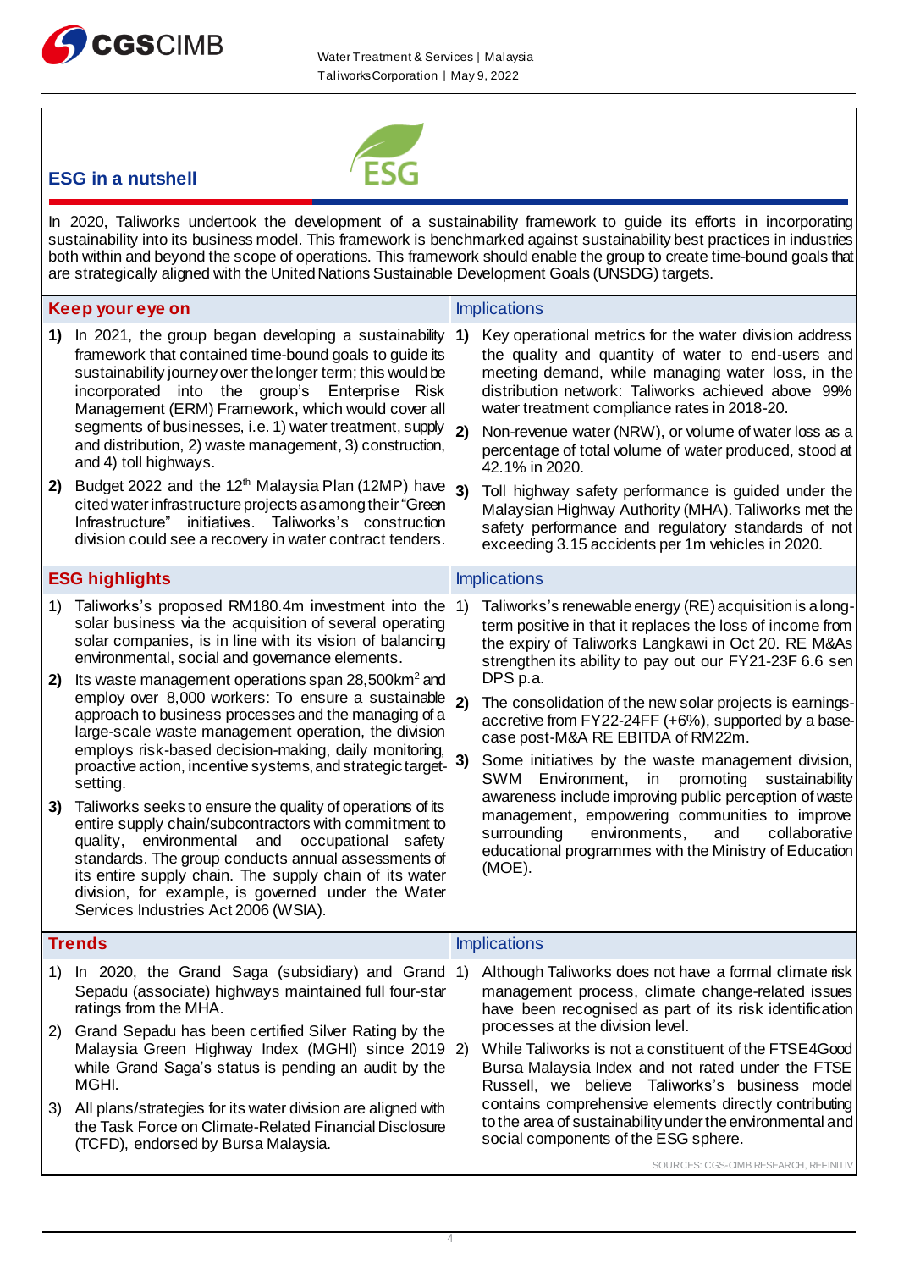



### **ESG in a nutshell**

In 2020, Taliworks undertook the development of a sustainability framework to guide its efforts in incorporating sustainability into its business model. This framework is benchmarked against sustainability best practices in industries both within and beyond the scope of operations. This framework should enable the group to create time-bound goals that are strategically aligned with the United Nations Sustainable Development Goals (UNSDG) targets.

|          | Keep your eye on                                                                                                                                                                                                                                                                                                                                                                                                                                                  |          | <b>Implications</b>                                                                                                                                                                                                                                                                      |
|----------|-------------------------------------------------------------------------------------------------------------------------------------------------------------------------------------------------------------------------------------------------------------------------------------------------------------------------------------------------------------------------------------------------------------------------------------------------------------------|----------|------------------------------------------------------------------------------------------------------------------------------------------------------------------------------------------------------------------------------------------------------------------------------------------|
| 1)       | In 2021, the group began developing a sustainability<br>framework that contained time-bound goals to guide its<br>sustainability journey over the longer term; this would be<br>incorporated into the group's Enterprise Risk<br>Management (ERM) Framework, which would cover all<br>segments of businesses, i.e. 1) water treatment, supply                                                                                                                     | 1)       | Key operational metrics for the water division address<br>the quality and quantity of water to end-users and<br>meeting demand, while managing water loss, in the<br>distribution network: Taliworks achieved above 99%<br>water treatment compliance rates in 2018-20.                  |
|          | and distribution, 2) waste management, 3) construction,<br>and 4) toll highways.                                                                                                                                                                                                                                                                                                                                                                                  | 2)       | Non-revenue water (NRW), or volume of water loss as a<br>percentage of total volume of water produced, stood at<br>42.1% in 2020.                                                                                                                                                        |
| 2)       | Budget 2022 and the 12 <sup>th</sup> Malaysia Plan (12MP) have<br>cited water infrastructure projects as among their "Green<br>Infrastructure" initiatives. Taliworks's construction<br>division could see a recovery in water contract tenders.                                                                                                                                                                                                                  | 3)       | Toll highway safety performance is guided under the<br>Malaysian Highway Authority (MHA). Taliworks met the<br>safety performance and regulatory standards of not<br>exceeding 3.15 accidents per 1m vehicles in 2020.                                                                   |
|          | <b>ESG highlights</b>                                                                                                                                                                                                                                                                                                                                                                                                                                             |          | <b>Implications</b>                                                                                                                                                                                                                                                                      |
| 1)<br>2) | Taliworks's proposed RM180.4m investment into the<br>solar business via the acquisition of several operating<br>solar companies, is in line with its vision of balancing<br>environmental, social and governance elements.<br>Its waste management operations span 28,500km <sup>2</sup> and                                                                                                                                                                      | 1)       | Taliworks's renewable energy (RE) acquisition is a long-<br>term positive in that it replaces the loss of income from<br>the expiry of Taliworks Langkawi in Oct 20. RE M&As<br>strengthen its ability to pay out our FY21-23F 6.6 sen<br>DPS p.a.                                       |
|          | employ over 8,000 workers: To ensure a sustainable<br>approach to business processes and the managing of a<br>large-scale waste management operation, the division<br>employs risk-based decision-making, daily monitoring,                                                                                                                                                                                                                                       | 2)<br>3) | The consolidation of the new solar projects is earnings-<br>accretive from FY22-24FF (+6%), supported by a base-<br>case post-M&A RE EBITDA of RM22m.<br>Some initiatives by the waste management division,                                                                              |
| 3)       | proactive action, incentive systems, and strategic target-<br>setting.<br>Taliworks seeks to ensure the quality of operations of its<br>entire supply chain/subcontractors with commitment to<br>quality, environmental and<br>occupational safety<br>standards. The group conducts annual assessments of<br>its entire supply chain. The supply chain of its water<br>division, for example, is governed under the Water<br>Services Industries Act 2006 (WSIA). |          | Environment, in promoting sustainability<br>SWM<br>awareness include improving public perception of waste<br>management, empowering communities to improve<br>environments,<br>surrounding<br>and<br>collaborative<br>educational programmes with the Ministry of Education<br>$(MOE)$ . |
|          | <b>Trends</b>                                                                                                                                                                                                                                                                                                                                                                                                                                                     |          | <b>Implications</b>                                                                                                                                                                                                                                                                      |
| 2)       | Sepadu (associate) highways maintained full four-star<br>ratings from the MHA.<br>Grand Sepadu has been certified Silver Rating by the                                                                                                                                                                                                                                                                                                                            |          | 1) In 2020, the Grand Saga (subsidiary) and Grand 1) Although Taliworks does not have a formal climate risk<br>management process, climate change-related issues<br>have been recognised as part of its risk identification<br>processes at the division level.                          |
|          | Malaysia Green Highway Index (MGHI) since 2019 2)<br>while Grand Saga's status is pending an audit by the<br>MGHI.                                                                                                                                                                                                                                                                                                                                                |          | While Taliworks is not a constituent of the FTSE4Good<br>Bursa Malaysia Index and not rated under the FTSE<br>Russell, we believe Taliworks's business model<br>contains comprehensive elements directly contributing                                                                    |
| 3)       | All plans/strategies for its water division are aligned with<br>the Task Force on Climate-Related Financial Disclosure<br>(TCFD), endorsed by Bursa Malaysia.                                                                                                                                                                                                                                                                                                     |          | to the area of sustainability under the environmental and<br>social components of the ESG sphere.<br>SOURCES: CGS-CIMB RESEARCH, REFINITIV                                                                                                                                               |
|          |                                                                                                                                                                                                                                                                                                                                                                                                                                                                   |          |                                                                                                                                                                                                                                                                                          |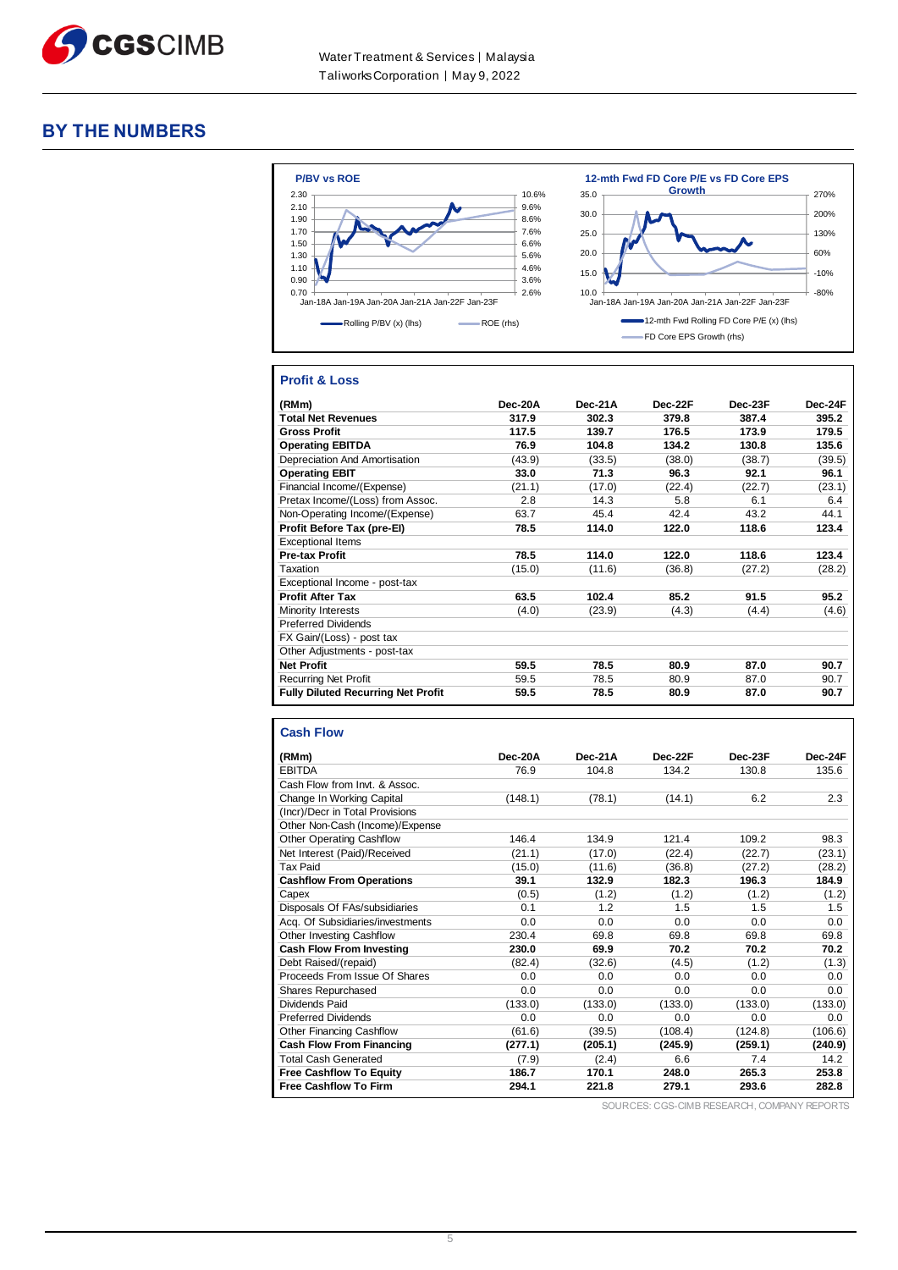

#### **BY THE NUMBERS**



#### **Profit & Loss**

| (RMm)                                     | Dec-20A | Dec-21A | Dec-22F | Dec-23F | Dec-24F |
|-------------------------------------------|---------|---------|---------|---------|---------|
| <b>Total Net Revenues</b>                 | 317.9   | 302.3   | 379.8   | 387.4   | 395.2   |
| <b>Gross Profit</b>                       | 117.5   | 139.7   | 176.5   | 173.9   | 179.5   |
| <b>Operating EBITDA</b>                   | 76.9    | 104.8   | 134.2   | 130.8   | 135.6   |
| Depreciation And Amortisation             | (43.9)  | (33.5)  | (38.0)  | (38.7)  | (39.5)  |
| <b>Operating EBIT</b>                     | 33.0    | 71.3    | 96.3    | 92.1    | 96.1    |
| Financial Income/(Expense)                | (21.1)  | (17.0)  | (22.4)  | (22.7)  | (23.1)  |
| Pretax Income/(Loss) from Assoc.          | 2.8     | 14.3    | 5.8     | 6.1     | 6.4     |
| Non-Operating Income/(Expense)            | 63.7    | 45.4    | 42.4    | 43.2    | 44.1    |
| Profit Before Tax (pre-El)                | 78.5    | 114.0   | 122.0   | 118.6   | 123.4   |
| <b>Exceptional Items</b>                  |         |         |         |         |         |
| <b>Pre-tax Profit</b>                     | 78.5    | 114.0   | 122.0   | 118.6   | 123.4   |
| Taxation                                  | (15.0)  | (11.6)  | (36.8)  | (27.2)  | (28.2)  |
| Exceptional Income - post-tax             |         |         |         |         |         |
| <b>Profit After Tax</b>                   | 63.5    | 102.4   | 85.2    | 91.5    | 95.2    |
| Minority Interests                        | (4.0)   | (23.9)  | (4.3)   | (4.4)   | (4.6)   |
| <b>Preferred Dividends</b>                |         |         |         |         |         |
| FX Gain/(Loss) - post tax                 |         |         |         |         |         |
| Other Adjustments - post-tax              |         |         |         |         |         |
| <b>Net Profit</b>                         | 59.5    | 78.5    | 80.9    | 87.0    | 90.7    |
| <b>Recurring Net Profit</b>               | 59.5    | 78.5    | 80.9    | 87.0    | 90.7    |
| <b>Fully Diluted Recurring Net Profit</b> | 59.5    | 78.5    | 80.9    | 87.0    | 90.7    |

#### **Cash Flow**

| (RMm)                            | Dec-20A | Dec-21A | Dec-22F | Dec-23F | Dec-24F |
|----------------------------------|---------|---------|---------|---------|---------|
| <b>EBITDA</b>                    | 76.9    | 104.8   | 134.2   | 130.8   | 135.6   |
| Cash Flow from Invt. & Assoc.    |         |         |         |         |         |
| Change In Working Capital        | (148.1) | (78.1)  | (14.1)  | 6.2     | 2.3     |
| (Incr)/Decr in Total Provisions  |         |         |         |         |         |
| Other Non-Cash (Income)/Expense  |         |         |         |         |         |
| <b>Other Operating Cashflow</b>  | 146.4   | 134.9   | 121.4   | 109.2   | 98.3    |
| Net Interest (Paid)/Received     | (21.1)  | (17.0)  | (22.4)  | (22.7)  | (23.1)  |
| <b>Tax Paid</b>                  | (15.0)  | (11.6)  | (36.8)  | (27.2)  | (28.2)  |
| <b>Cashflow From Operations</b>  | 39.1    | 132.9   | 182.3   | 196.3   | 184.9   |
| Capex                            | (0.5)   | (1.2)   | (1.2)   | (1.2)   | (1.2)   |
| Disposals Of FAs/subsidiaries    | 0.1     | 1.2     | 1.5     | 1.5     | 1.5     |
| Acq. Of Subsidiaries/investments | 0.0     | 0.0     | 0.0     | 0.0     | 0.0     |
| Other Investing Cashflow         | 230.4   | 69.8    | 69.8    | 69.8    | 69.8    |
| <b>Cash Flow From Investing</b>  | 230.0   | 69.9    | 70.2    | 70.2    | 70.2    |
| Debt Raised/(repaid)             | (82.4)  | (32.6)  | (4.5)   | (1.2)   | (1.3)   |
| Proceeds From Issue Of Shares    | 0.0     | 0.0     | 0.0     | 0.0     | 0.0     |
| <b>Shares Repurchased</b>        | 0.0     | 0.0     | 0.0     | 0.0     | 0.0     |
| Dividends Paid                   | (133.0) | (133.0) | (133.0) | (133.0) | (133.0) |
| <b>Preferred Dividends</b>       | 0.0     | 0.0     | 0.0     | 0.0     | 0.0     |
| Other Financing Cashflow         | (61.6)  | (39.5)  | (108.4) | (124.8) | (106.6) |
| <b>Cash Flow From Financing</b>  | (277.1) | (205.1) | (245.9) | (259.1) | (240.9) |
| <b>Total Cash Generated</b>      | (7.9)   | (2.4)   | 6.6     | 7.4     | 14.2    |
| <b>Free Cashflow To Equity</b>   | 186.7   | 170.1   | 248.0   | 265.3   | 253.8   |
| <b>Free Cashflow To Firm</b>     | 294.1   | 221.8   | 279.1   | 293.6   | 282.8   |

SOURCES: CGS-CIMB RESEARCH, COMPANY REPORTS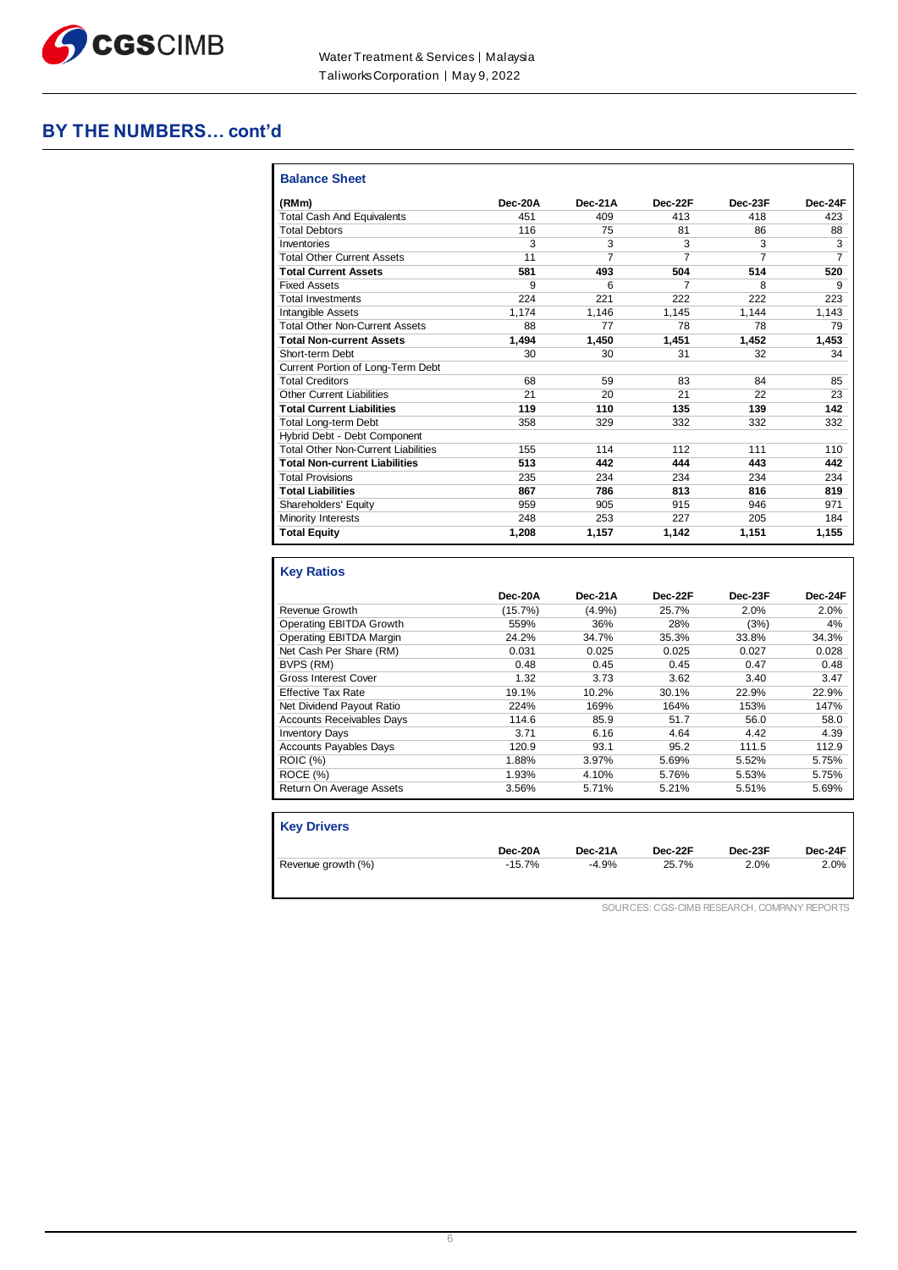

### **BY THE NUMBERS… cont'd**

| <b>Balance Sheet</b>                                                       |         |                |                |                |         |
|----------------------------------------------------------------------------|---------|----------------|----------------|----------------|---------|
| (RMm)                                                                      | Dec-20A | Dec-21A        | Dec-22F        | Dec-23F        | Dec-24F |
| <b>Total Cash And Equivalents</b>                                          | 451     | 409            | 413            | 418            | 423     |
| <b>Total Debtors</b>                                                       | 116     | 75             | 81             | 86             | 88      |
| Inventories                                                                | 3       | 3              | 3              | 3              | 3       |
| <b>Total Other Current Assets</b>                                          | 11      | $\overline{7}$ | $\overline{7}$ | $\overline{7}$ | 7       |
| <b>Total Current Assets</b>                                                | 581     | 493            | 504            | 514            | 520     |
| <b>Fixed Assets</b>                                                        | 9       | 6              | 7              | 8              | 9       |
| <b>Total Investments</b>                                                   | 224     | 221            | 222            | 222            | 223     |
| <b>Intangible Assets</b>                                                   | 1.174   | 1.146          | 1.145          | 1,144          | 1,143   |
| <b>Total Other Non-Current Assets</b>                                      | 88      | 77             | 78             | 78             | 79      |
| <b>Total Non-current Assets</b>                                            | 1.494   | 1.450          | 1,451          | 1,452          | 1,453   |
| Short-term Debt                                                            | 30      | 30             | 31             | 32             | 34      |
| Current Portion of Long-Term Debt                                          |         |                |                |                |         |
| <b>Total Creditors</b>                                                     | 68      | 59             | 83             | 84             | 85      |
| Other Current Liabilities                                                  | 21      | 20             | 21             | 22             | 23      |
| <b>Total Current Liabilities</b>                                           | 119     | 110            | 135            | 139            | 142     |
| <b>Total Long-term Debt</b>                                                | 358     | 329            | 332            | 332            | 332     |
| Hybrid Debt - Debt Component                                               |         |                |                |                |         |
| <b>Total Other Non-Current Liabilities</b>                                 | 155     | 114            | 112            | 111            | 110     |
| <b>Total Non-current Liabilities</b>                                       | 513     | 442            | 444            | 443            | 442     |
| <b>Total Provisions</b>                                                    | 235     | 234            | 234            | 234            | 234     |
| <b>Total Liabilities</b>                                                   | 867     | 786            | 813            | 816            | 819     |
| Shareholders' Equity                                                       | 959     | 905            | 915            | 946            | 971     |
| Minority Interests                                                         | 248     | 253            | 227            | 205            | 184     |
| <b>Total Equity</b>                                                        | 1,208   | 1,157          | 1,142          | 1,151          | 1,155   |
|                                                                            |         |                |                |                |         |
| <b>Key Ratios</b>                                                          |         |                |                |                |         |
|                                                                            | Dec-20A | Dec-21A        | Dec-22F        | Dec-23F        | Dec-24F |
| Revenue Growth                                                             | (15.7%) | (4.9%)         | 25.7%          | 2.0%           | 2.0%    |
| <b>Operating EBITDA Growth</b>                                             | 559%    | 36%            | 28%            | (3%)           | 4%      |
| Operating EBITDA Margin                                                    | 24.2%   | 34.7%          | 35.3%          | 33.8%          | 34.3%   |
| $M_{\text{tot}}$ $O_{\text{tot}}$ $D_{\text{tot}}$ $O_{\text{tot}}$ $(DM)$ | 0.024   | 0.005          | 0.005          | 0.027          | 0.000   |

| Revenue Growth                   | (15.7%) | (4.9%) | 25.7% | 2.0%  | 2.0%  |
|----------------------------------|---------|--------|-------|-------|-------|
| Operating EBITDA Growth          | 559%    | 36%    | 28%   | (3%)  | 4%    |
| Operating EBITDA Margin          | 24.2%   | 34.7%  | 35.3% | 33.8% | 34.3% |
| Net Cash Per Share (RM)          | 0.031   | 0.025  | 0.025 | 0.027 | 0.028 |
| BVPS (RM)                        | 0.48    | 0.45   | 0.45  | 0.47  | 0.48  |
| <b>Gross Interest Cover</b>      | 1.32    | 3.73   | 3.62  | 3.40  | 3.47  |
| <b>Effective Tax Rate</b>        | 19.1%   | 10.2%  | 30.1% | 22.9% | 22.9% |
| Net Dividend Payout Ratio        | 224%    | 169%   | 164%  | 153%  | 147%  |
| <b>Accounts Receivables Days</b> | 114.6   | 85.9   | 51.7  | 56.0  | 58.0  |
| <b>Inventory Days</b>            | 3.71    | 6.16   | 4.64  | 4.42  | 4.39  |
| <b>Accounts Payables Days</b>    | 120.9   | 93.1   | 95.2  | 111.5 | 112.9 |
| <b>ROIC (%)</b>                  | 1.88%   | 3.97%  | 5.69% | 5.52% | 5.75% |
| ROCE (%)                         | 1.93%   | 4.10%  | 5.76% | 5.53% | 5.75% |
| Return On Average Assets         | 3.56%   | 5.71%  | 5.21% | 5.51% | 5.69% |
|                                  |         |        |       |       |       |

| <b>Key Drivers</b> |          |         |         |         |         |
|--------------------|----------|---------|---------|---------|---------|
|                    | Dec-20A  | Dec-21A | Dec-22F | Dec-23F | Dec-24F |
| Revenue growth (%) | $-15.7%$ | $-4.9%$ | 25.7%   | 2.0%    | 2.0%    |

SOURCES: CGS-CIMB RESEARCH, COMPANY REPORTS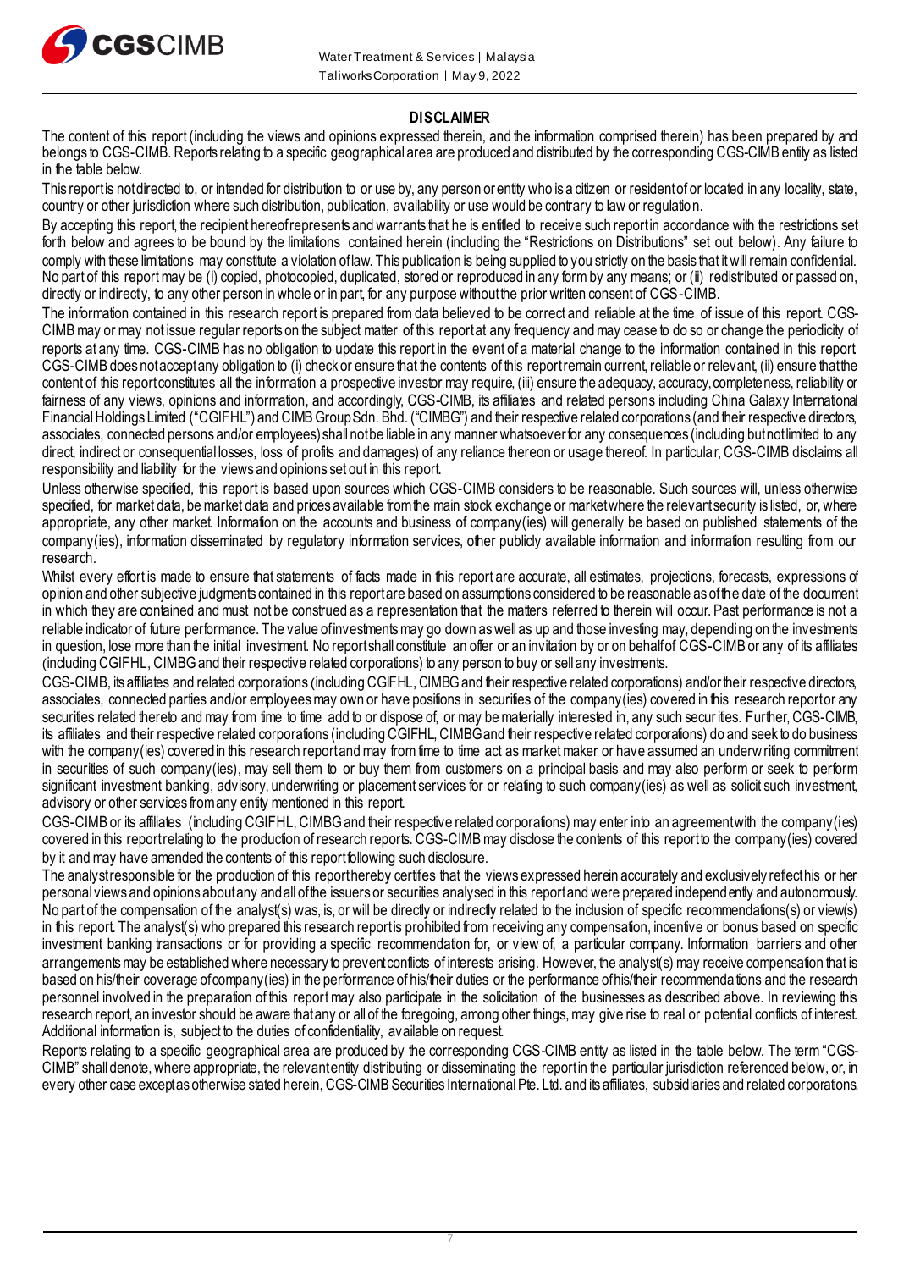

#### **DISCLAIMER**

The content of this report (including the views and opinions expressed therein, and the information comprised therein) has been prepared by and belongs to CGS-CIMB. Reports relating to a specific geographical area are produced and distributed by the corresponding CGS-CIMB entity as listed in the table below.

This report is not directed to, or intended for distribution to or use by, any person or entity who is a citizen or resident of or located in any locality, state, country or other jurisdiction where such distribution, publication, availability or use would be contrary to law or regulation.

By accepting this report, the recipient hereof represents and warrants that he is entitled to receive such report in accordance with the restrictions set forth below and agrees to be bound by the limitations contained herein (including the "Restrictions on Distributions" set out below). Any failure to comply with these limitations may constitute a violation of law. This publication is being supplied to you strictly on the basis that it will remain confidential. No part of this report may be (i) copied, photocopied, duplicated, stored or reproduced in any form by any means; or (ii) redistributed or passed on, directly or indirectly, to any other person in whole or in part, for any purpose without the prior written consent of CGS-CIMB.

The information contained in this research report is prepared from data believed to be correct and reliable at the time of issue of this report. CGS-CIMB may or may not issue regular reports on the subject matter of this reportat any frequency and may cease to do so or change the periodicity of reports at any time. CGS-CIMB has no obligation to update this report in the event of a material change to the information contained in this report. CGS-CIMB does not accept any obligation to (i) check or ensure that the contents of this report remain current, reliable or relevant, (ii) ensure that the content of this report constitutes all the information a prospective investor may require, (iii) ensure the adequacy, accuracy, completeness, reliability or fairness of any views, opinions and information, and accordingly, CGS-CIMB, its affiliates and related persons including China Galaxy International Financial Holdings Limited ("CGIFHL") and CIMB Group Sdn. Bhd. ("CIMBG") and their respective related corporations (and their respective directors, associates, connected persons and/or employees) shall not be liable in any manner whatsoever for any consequences (including but not limited to any direct, indirect or consequential losses, loss of profits and damages) of any reliance thereon or usage thereof. In particular, CGS-CIMB disclaims all responsibility and liability for the views and opinions set out in this report.

Unless otherwise specified, this report is based upon sources which CGS-CIMB considers to be reasonable. Such sources will, unless otherwise specified, for market data, be market data and prices available from the main stock exchange or market where the relevant security is listed, or, where appropriate, any other market. Information on the accounts and business of company(ies) will generally be based on published statements of the company(ies), information disseminated by regulatory information services, other publicly available information and information resulting from our research.

Whilst every effort is made to ensure that statements of facts made in this report are accurate, all estimates, projections, forecasts, expressions of opinion and other subjective judgments contained in this report are based on assumptions considered to be reasonable as of the date of the document in which they are contained and must not be construed as a representation that the matters referred to therein will occur. Past performance is not a reliable indicator of future performance. The value of investments may go down as well as up and those investing may, depending on the investments in question, lose more than the initial investment. No report shall constitute an offer or an invitation by or on behalf of CGS-CIMB or any of its affiliates (including CGIFHL, CIMBG and their respective related corporations) to any person to buy or sell any investments.

CGS-CIMB, its affiliates and related corporations (including CGIFHL, CIMBG and their respective related corporations) and/or their respective directors, associates, connected parties and/or employees may own or have positions in securities of the company(ies) covered in this research report or any securities related thereto and may from time to time add to or dispose of, or may be materially interested in, any such securities. Further, CGS-CIMB, its affiliates and their respective related corporations (including CGIFHL, CIMBG and their respective related corporations) do and seek to do business with the company(ies) covered in this research report and may from time to time act as market maker or have assumed an underwriting commitment in securities of such company(ies), may sell them to or buy them from customers on a principal basis and may also perform or seek to perform significant investment banking, advisory, underwriting or placement services for or relating to such company(ies) as well as solicit such investment, advisory or other services from any entity mentioned in this report.

CGS-CIMB or its affiliates (including CGIFHL, CIMBG and their respective related corporations) may enter into an agreement with the company(ies) covered in this report relating to the production of research reports. CGS-CIMB may disclose the contents of this report to the company(ies) covered by it and may have amended the contents of this report following such disclosure.

The analyst responsible for the production of this report hereby certifies that the views expressed herein accurately and exclusively reflect his or her personal views and opinions about any and all of the issuers or securities analysed in this report and were prepared independ ently and autonomously. No part of the compensation of the analyst(s) was, is, or will be directly or indirectly related to the inclusion of specific recommendations(s) or view(s) in this report. The analyst(s) who prepared this research report is prohibited from receiving any compensation, incentive or bonus based on specific investment banking transactions or for providing a specific recommendation for, or view of, a particular company. Information barriers and other arrangements may be established where necessary to prevent conflicts of interests arising. However, the analyst(s) may receive compensation that is based on his/their coverage of company(ies) in the performance of his/their duties or the performance of his/their recommendations and the research personnel involved in the preparation of this report may also participate in the solicitation of the businesses as described above. In reviewing this research report, an investor should be aware that any or all of the foregoing, among other things, may give rise to real or potential conflicts of interest. Additional information is, subject to the duties of confidentiality, available on request.

Reports relating to a specific geographical area are produced by the corresponding CGS-CIMB entity as listed in the table below. The term "CGS-CIMB" shall denote, where appropriate, the relevant entity distributing or disseminating the report in the particular jurisdiction referenced below, or, in every other case except as otherwise stated herein, CGS-CIMB Securities International Pte. Ltd. and its affiliates, subsidiaries and related corporations.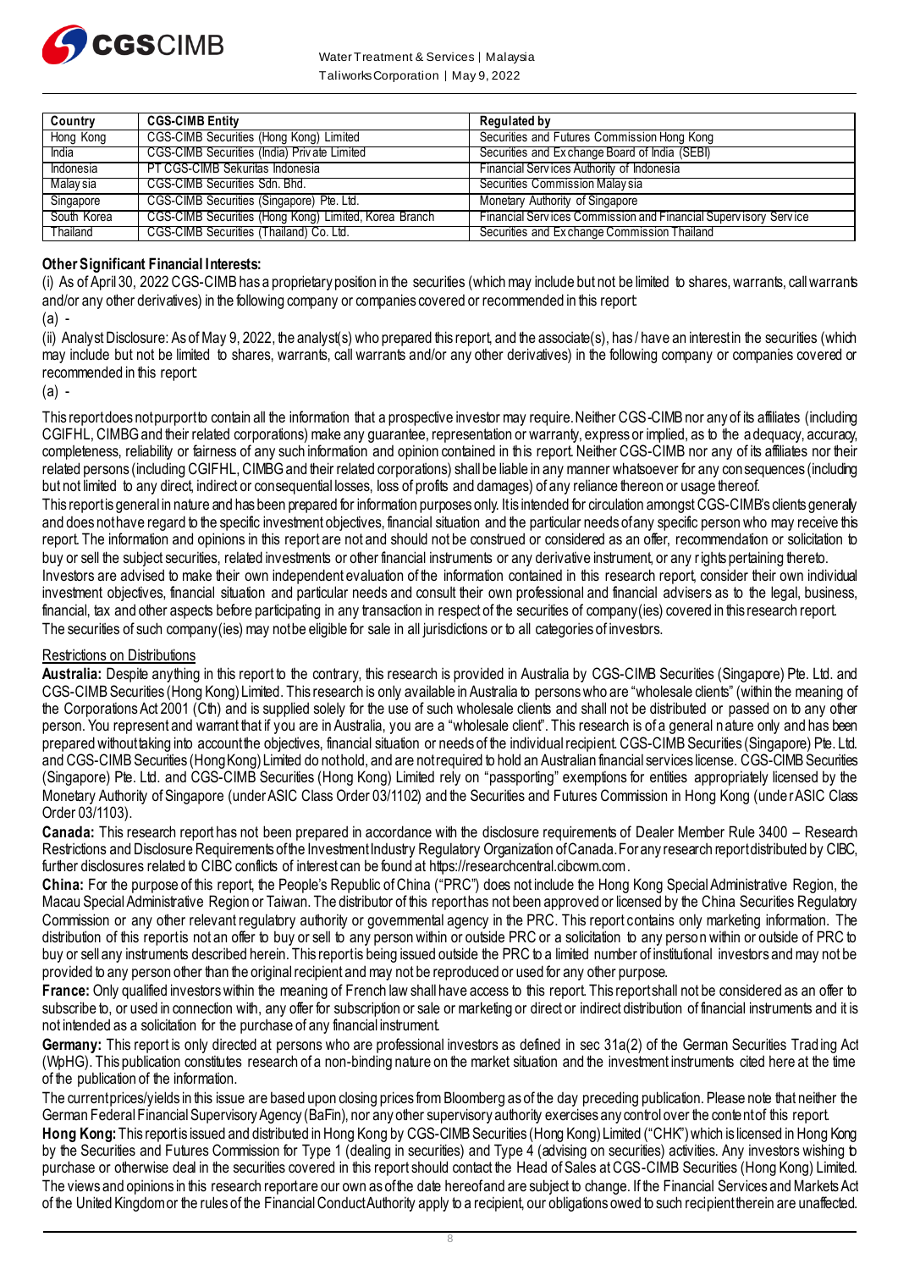

Water Treatment & Services | Malaysia Taliworks Corporation │ May 9, 2022

| Country         | <b>CGS-CIMB Entity</b>                                | <b>Regulated by</b>                                                    |
|-----------------|-------------------------------------------------------|------------------------------------------------------------------------|
| Hong Kong       | <b>CGS-CIMB Securities (Hong Kong) Limited</b>        | Securities and Futures Commission Hong Kong                            |
| <b>India</b>    | CGS-CIMB Securities (India) Private Limited           | Securities and Exchange Board of India (SEBI)                          |
| Indonesia       | <b>PT CGS-CIMB Sekuritas Indonesia</b>                | Financial Services Authority of Indonesia                              |
| <b>Malaysia</b> | CGS-CIMB Securities Sdn. Bhd.                         | Securities Commission Malaysia                                         |
| Singapore       | CGS-CIMB Securities (Singapore) Pte. Ltd.             | Monetary Authority of Singapore                                        |
| South Korea     | CGS-CIMB Securities (Hong Kong) Limited, Korea Branch | <b>Financial Services Commission and Financial Supervisory Service</b> |
| Thailand        | CGS-CIMB Securities (Thailand) Co. Ltd.               | Securities and Exchange Commission Thailand                            |

#### **Other Significant Financial Interests:**

(i) As of April 30, 2022 CGS-CIMB has a proprietary position in the securities (which may include but not be limited to shares, warrants, call warrants and/or any other derivatives) in the following company or companies covered or recommended in this report:

 $(a)$ .

(ii) Analyst Disclosure: As of May 9, 2022, the analyst(s) who prepared this report, and the associate(s), has / have an interest in the securities (which may include but not be limited to shares, warrants, call warrants and/or any other derivatives) in the following company or companies covered or recommended in this report:

 $(a)$ .

This report does not purport to contain all the information that a prospective investor may require. Neither CGS-CIMB nor any of its affiliates (including CGIFHL, CIMBG and their related corporations) make any guarantee, representation or warranty, express or implied, as to the adequacy, accuracy, completeness, reliability or fairness of any such information and opinion contained in this report. Neither CGS-CIMB nor any of its affiliates nor their related persons (including CGIFHL, CIMBG and their related corporations) shall be liable in any manner whatsoever for any consequences (including but not limited to any direct, indirect or consequential losses, loss of profits and damages) of any reliance thereon or usage thereof. This report is general in nature and has been prepared for information purposes only. It is intended for circulation amongst CGS-CIMB's clients generally

and does not have regard to the specific investment objectives, financial situation and the particular needs of any specific person who may receive this report. The information and opinions in this report are not and should not be construed or considered as an offer, recommendation or solicitation to buy or sell the subject securities, related investments or other financial instruments or any derivative instrument, or any rights pertaining thereto.

Investors are advised to make their own independent evaluation of the information contained in this research report, consider their own individual investment objectives, financial situation and particular needs and consult their own professional and financial advisers as to the legal, business, financial, tax and other aspects before participating in any transaction in respect of the securities of company(ies) covered in this research report. The securities of such company(ies) may not be eligible for sale in all jurisdictions or to all categories of investors.

#### Restrictions on Distributions

**Australia:** Despite anything in this report to the contrary, this research is provided in Australia by CGS-CIMB Securities (Singapore) Pte. Ltd. and CGS-CIMB Securities (Hong Kong) Limited. This research is only available in Australia to persons who are "wholesale clients" (within the meaning of the Corporations Act 2001 (Cth) and is supplied solely for the use of such wholesale clients and shall not be distributed or passed on to any other person. You represent and warrant that if you are in Australia, you are a "wholesale client". This research is of a general nature only and has been prepared without taking into account the objectives, financial situation or needs of the individual recipient. CGS-CIMB Securities (Singapore) Pte. Ltd. and CGS-CIMB Securities (Hong Kong) Limited do not hold, and are not required to hold an Australian financial services license. CGS-CIMB Securities (Singapore) Pte. Ltd. and CGS-CIMB Securities (Hong Kong) Limited rely on "passporting" exemptions for entities appropriately licensed by the Monetary Authority of Singapore (under ASIC Class Order 03/1102) and the Securities and Futures Commission in Hong Kong (under ASIC Class Order 03/1103).

**Canada:** This research report has not been prepared in accordance with the disclosure requirements of Dealer Member Rule 3400 – Research Restrictions and Disclosure Requirements of the Investment Industry Regulatory Organization of Canada. For any research report distributed by CIBC, further disclosures related to CIBC conflicts of interest can be found at https://researchcentral.cibcwm.com .

**China:** For the purpose of this report, the People's Republic of China ("PRC") does not include the Hong Kong Special Administrative Region, the Macau Special Administrative Region or Taiwan. The distributor of this report has not been approved or licensed by the China Securities Regulatory Commission or any other relevant regulatory authority or governmental agency in the PRC. This report contains only marketing information. The distribution of this report is not an offer to buy or sell to any person within or outside PRC or a solicitation to any person within or outside of PRC to buy or sell any instruments described herein. This report is being issued outside the PRC to a limited number of institutional investors and may not be provided to any person other than the original recipient and may not be reproduced or used for any other purpose.

France: Only qualified investors within the meaning of French law shall have access to this report This report shall not be considered as an offer to subscribe to, or used in connection with, any offer for subscription or sale or marketing or direct or indirect distribution of financial instruments and it is not intended as a solicitation for the purchase of any financial instrument.

Germany: This report is only directed at persons who are professional investors as defined in sec 31a(2) of the German Securities Trading Act (WpHG). This publication constitutes research of a non-binding nature on the market situation and the investment instruments cited here at the time of the publication of the information.

The current prices/yields in this issue are based upon closing prices from Bloomberg as of the day preceding publication. Please note that neither the German Federal Financial Supervisory Agency (BaFin), nor any other supervisory authority exercises any control over the content of this report.

**Hong Kong:** This report is issued and distributed in Hong Kong by CGS-CIMB Securities (Hong Kong) Limited ("CHK") which is licensed in Hong Kong by the Securities and Futures Commission for Type 1 (dealing in securities) and Type 4 (advising on securities) activities. Any investors wishing to purchase or otherwise deal in the securities covered in this report should contact the Head of Sales at CGS-CIMB Securities (Hong Kong) Limited. The views and opinions in this research reportare our own as of the date hereof and are subject to change. If the Financial Services and Markets Act of the United Kingdom or the rules of the Financial Conduct Authority apply to a recipient, our obligations owed to such recipient therein are unaffected.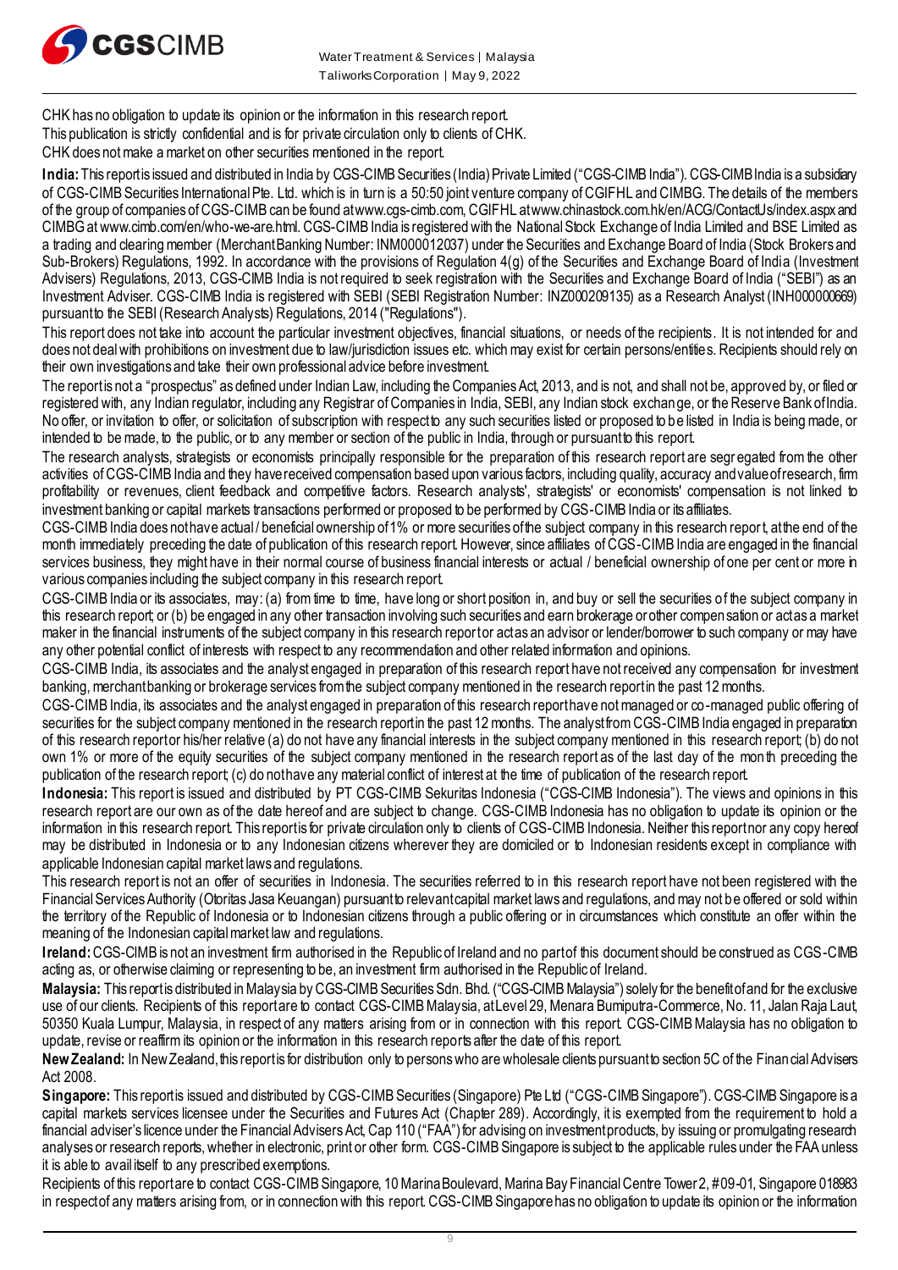

CHK has no obligation to update its opinion or the information in this research report.

This publication is strictly confidential and is for private circulation only to clients of CHK.

CHK does not make a market on other securities mentioned in the report.

India: This report is issued and distributed in India by CGS-CIMB Securities (India) Private Limited ("CGS-CIMB India"). CGS-CIMB India is a subsidiary of CGS-CIMB Securities International Pte. Ltd. which is in turn is a 50:50 joint venture company of CGIFHL and CIMBG. The details of the members of the group of companies of CGS-CIMB can be found at www.cgs-cimb.com, CGIFHL at www.chinastock.com.hk/en/ACG/ContactUs/index.aspx and CIMBG at www.cimb.com/en/who-we-are.html. CGS-CIMB India is registered with the National Stock Exchange of India Limited and BSE Limited as a trading and clearing member (Merchant Banking Number: INM000012037) under the Securities and Exchange Board of India (Stock Brokers and Sub-Brokers) Regulations, 1992. In accordance with the provisions of Regulation 4(g) of the Securities and Exchange Board of India (Investment Advisers) Regulations, 2013, CGS-CIMB India is not required to seek registration with the Securities and Exchange Board of India ("SEBI") as an Investment Adviser. CGS-CIMB India is registered with SEBI (SEBI Registration Number: INZ000209135) as a Research Analyst (INH000000669) pursuant to the SEBI (Research Analysts) Regulations, 2014 ("Regulations").

This report does not take into account the particular investment objectives, financial situations, or needs of the recipients. It is not intended for and does not deal with prohibitions on investment due to law/jurisdiction issues etc. which may exist for certain persons/entities. Recipients should rely on their own investigations and take their own professional advice before investment.

The report is not a "prospectus" as defined under Indian Law, including the Companies Act, 2013, and is not, and shall not be, approved by, or filed or registered with, any Indian regulator, including any Registrar of Companies in India, SEBI, any Indian stock exchange, or the Reserve Bank of India. No offer, or invitation to offer, or solicitation of subscription with respect to any such securities listed or proposed to be listed in India is being made, or intended to be made, to the public, or to any member or section of the public in India, through or pursuant to this report.

The research analysts, strategists or economists principally responsible for the preparation of this research report are segr egated from the other activities of CGS-CIMB India and they have received compensation based upon various factors, including quality, accuracy and value of research, firm profitability or revenues, client feedback and competitive factors. Research analysts', strategists' or economists' compensation is not linked to investment banking or capital markets transactions performed or proposed to be performed by CGS-CIMB India or its affiliates.

CGS-CIMB India does not have actual / beneficial ownership of 1% or more securities of the subject company in this research report, at the end of the month immediately preceding the date of publication of this research report. However, since affiliates of CGS-CIMB India are engaged in the financial services business, they might have in their normal course of business financial interests or actual / beneficial ownership of one per cent or more in various companies including the subject company in this research report.

CGS-CIMB India or its associates, may: (a) from time to time, have long or short position in, and buy or sell the securities of the subject company in this research report; or (b) be engaged in any other transaction involving such securities and earn brokerage or other compensation or act as a market maker in the financial instruments of the subject company in this research report or act as an advisor or lender/borrower to such company or may have any other potential conflict of interests with respect to any recommendation and other related information and opinions.

CGS-CIMB India, its associates and the analyst engaged in preparation of this research report have not received any compensation for investment banking, merchant banking or brokerage services from the subject company mentioned in the research report in the past 12 months.

CGS-CIMB India, its associates and the analyst engaged in preparation of this research report have not managed or co-managed public offering of securities for the subject company mentioned in the research report in the past 12 months. The analyst from CGS-CIMB India engaged in preparation of this research report or his/her relative (a) do not have any financial interests in the subject company mentioned in this research report; (b) do not own 1% or more of the equity securities of the subject company mentioned in the research report as of the last day of the mon th preceding the publication of the research report; (c) do not have any material conflict of interest at the time of publication of the research report.

**Indonesia:** This report is issued and distributed by PT CGS-CIMB Sekuritas Indonesia ("CGS-CIMB Indonesia"). The views and opinions in this research report are our own as of the date hereof and are subject to change. CGS-CIMB Indonesia has no obligation to update its opinion or the information in this research report. This report is for private circulation only to clients of CGS-CIMB Indonesia. Neither this report nor any copy hereof may be distributed in Indonesia or to any Indonesian citizens wherever they are domiciled or to Indonesian residents except in compliance with applicable Indonesian capital market laws and regulations.

This research report is not an offer of securities in Indonesia. The securities referred to in this research report have not been registered with the Financial Services Authority (Otoritas Jasa Keuangan) pursuant to relevant capital market laws and regulations, and may not be offered or sold within the territory of the Republic of Indonesia or to Indonesian citizens through a public offering or in circumstances which constitute an offer within the meaning of the Indonesian capital market law and regulations.

**Ireland:**CGS-CIMB is not an investment firm authorised in the Republic of Ireland and no part of this document should be construed as CGS-CIMB acting as, or otherwise claiming or representing to be, an investment firm authorised in the Republic of Ireland.

Malaysia: This report is distributed in Malaysia by CGS-CIMB Securities Sdn. Bhd. ("CGS-CIMB Malaysia") solely for the benefit of and for the exclusive use of our clients. Recipients of this report are to contact CGS-CIMB Malaysia, at Level 29, Menara Bumiputra-Commerce, No. 11, Jalan Raja Laut, 50350 Kuala Lumpur, Malaysia, in respect of any matters arising from or in connection with this report. CGS-CIMB Malaysia has no obligation to update, revise or reaffirm its opinion or the information in this research reports after the date of this report.

**New Zealand:** In New Zealand, this report is for distribution only to persons who are wholesale clients pursuant to section 5C of the Financial Advisers Act 2008.

Singapore: This report is issued and distributed by CGS-CIMB Securities (Singapore) Pte Ltd ("CGS-CIMB Singapore"). CGS-CIMB Singapore is a capital markets services licensee under the Securities and Futures Act (Chapter 289). Accordingly, it is exempted from the requirement to hold a financial adviser's licence under the Financial Advisers Act, Cap 110 ("FAA") for advising on investment products, by issuing or promulgating research analyses or research reports, whether in electronic, print or other form. CGS-CIMB Singapore is subject to the applicable rules under the FAA unless it is able to avail itself to any prescribed exemptions.

Recipients of this report are to contact CGS-CIMB Singapore, 10 Marina Boulevard, Marina Bay Financial Centre Tower 2, #09-01, Singapore 018983 in respect of any matters arising from, or in connection with this report. CGS-CIMB Singaporehas no obligation to update its opinion or the information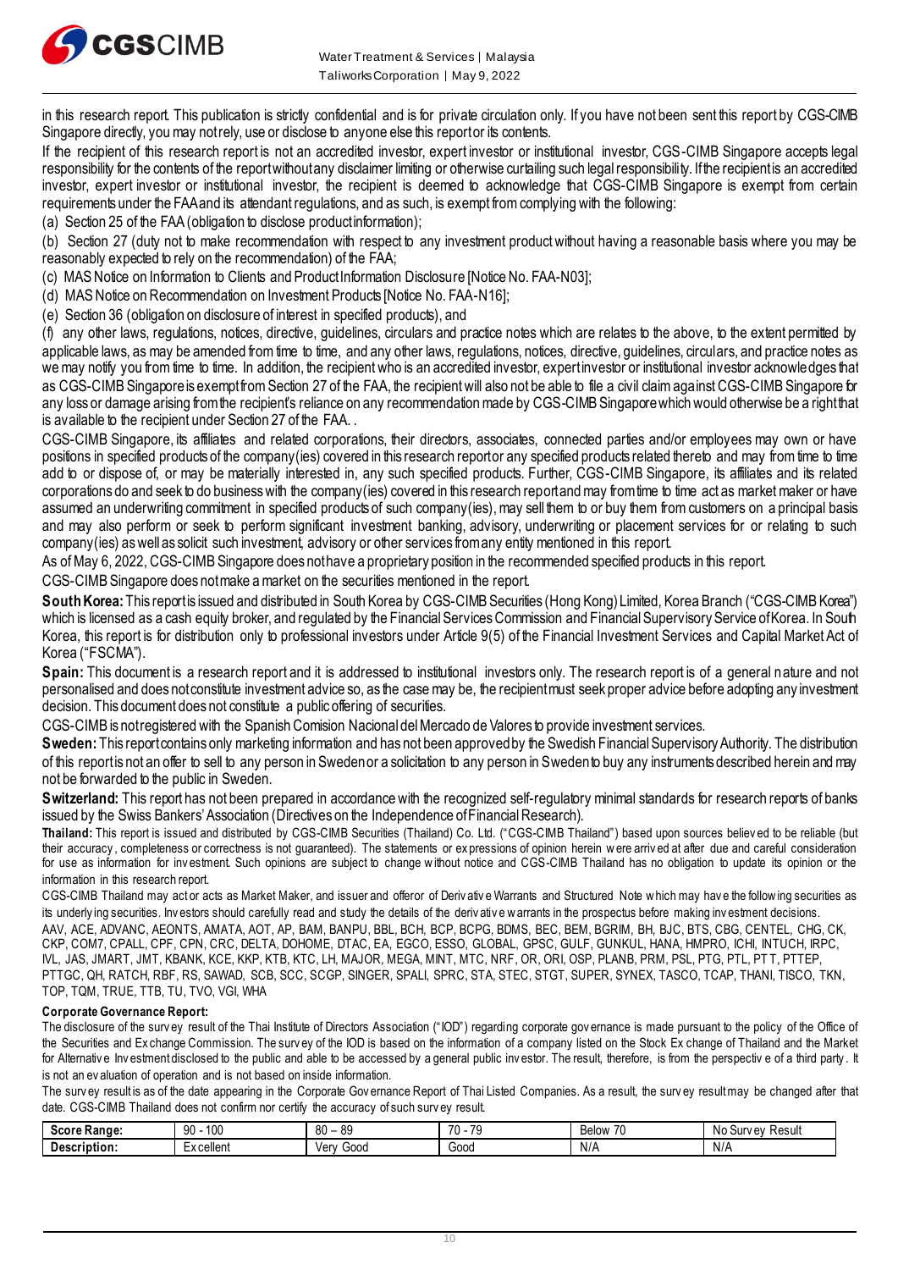

in this research report. This publication is strictly confidential and is for private circulation only. If you have not been sent this report by CGS-CIMB Singapore directly, you may not rely, use or disclose to anyone else this report or its contents.

If the recipient of this research report is not an accredited investor, expert investor or institutional investor, CGS-CIMB Singapore accepts legal responsibility for the contents of the report without any disclaimer limiting or otherwise curtailing such legal responsibility. If the recipient is an accredited investor, expert investor or institutional investor, the recipient is deemed to acknowledge that CGS-CIMB Singapore is exempt from certain requirements under the FAA and its attendant regulations, and as such, is exempt from complying with the following:

(a) Section 25 of the FAA (obligation to disclose product information);

(b) Section 27 (duty not to make recommendation with respect to any investment product without having a reasonable basis where you may be reasonably expected to rely on the recommendation) of the FAA;

(c) MAS Notice on Information to Clients and Product Information Disclosure [Notice No. FAA-N03];

(d) MAS Notice on Recommendation on Investment Products [Notice No. FAA-N16];

(e) Section 36 (obligation on disclosure of interest in specified products), and

(f) any other laws, regulations, notices, directive, guidelines, circulars and practice notes which are relates to the above, to the extent permitted by applicable laws, as may be amended from time to time, and any other laws, regulations, notices, directive, quidelines, circulars, and practice notes as we may notify you from time to time. In addition, the recipient who is an accredited investor, expert investor or institutional investor acknowledges that as CGS-CIMB Singapore is exempt from Section 27 of the FAA, the recipient will also not be able to file a civil claim against CGS-CIMB Singapore for any loss or damage arising from the recipient's reliance on any recommendation made by CGS-CIMB Singaporewhich would otherwise be a right that is available to the recipient under Section 27 of the FAA...

CGS-CIMB Singapore, its affiliates and related corporations, their directors, associates, connected parties and/or employees may own or have positions in specified products of the company(ies) covered in this research report or any specified products related thereto and may from time to time add to or dispose of, or may be materially interested in, any such specified products. Further, CGS-CIMB Singapore, its affiliates and its related corporations do and seek to do business with the company(ies) covered in this research report and may from time to time act as market maker or have assumed an underwriting commitment in specified products of such company(ies), may sell them to or buy them from customers on a principal basis and may also perform or seek to perform significant investment banking, advisory, underwriting or placement services for or relating to such company(ies) as well as solicit such investment, advisory or other services from any entity mentioned in this report.

As of May 6, 2022, CGS-CIMB Singapore does nothave a proprietary position in the recommended specified products in this report.

CGS-CIMB Singapore does notmake a market on the securities mentioned in the report.

South Korea: This report is issued and distributed in South Korea by CGS-CIMB Securities (Hong Kong) Limited, Korea Branch ("CGS-CIMB Korea") which is licensed as a cash equity broker, and regulated by the Financial Services Commission and Financial Supervisory Service of Korea. In South Korea, this report is for distribution only to professional investors under Article 9(5) of the Financial Investment Services and Capital Market Act of Korea ("FSCMA").

Spain: This document is a research report and it is addressed to institutional investors only. The research report is of a general nature and not personalised and does not constitute investment advice so, as the case may be, the recipient must seek proper advice before adopting any investment decision. This document does not constitute a public offering of securities.

CGS-CIMB is not registered with the Spanish Comision Nacional del Mercado de Valores to provide investment services.

**Sweden:**This report contains only marketing information and has not been approved by the Swedish Financial Supervisory Authority. The distribution of this report is not an offer to sell to any person in Sweden or a solicitation to any person in Sweden to buy any instruments described herein and may not be forwarded to the public in Sweden.

Switzerland: This report has not been prepared in accordance with the recognized self-regulatory minimal standards for research reports of banks issued by the Swiss Bankers' Association (Directives on the Independence of Financial Research).

**Thailand:** This report is issued and distributed by CGS-CIMB Securities (Thailand) Co. Ltd. ("CGS-CIMB Thailand") based upon sources believ ed to be reliable (but their accuracy, completeness or correctness is not quaranteed). The statements or expressions of opinion herein were arrived at after due and careful consideration for use as information for investment. Such opinions are subject to change without notice and CGS-CIMB Thailand has no obligation to update its opinion or the information in this research report.

CGS-CIMB Thailand may actor acts as Market Maker, and issuer and offeror of Derivative Warrants and Structured Note w hich may have the following securities as its underly ing securities. Inv estors should carefully read and study the details of the deriv ativ e w arrants in the prospectus before making inv estment decisions. AAV, ACE, ADVANC, AEONTS, AMATA, AOT, AP, BAM, BANPU, BBL, BCH, BCP, BCPG, BDMS, BEC, BEM, BGRIM, BH, BJC, BTS, CBG, CENTEL, CHG, CK, CKP, COM7, CPALL, CPF, CPN, CRC, DELTA, DOHOME, DTAC, EA, EGCO, ESSO, GLOBAL, GPSC, GULF, GUNKUL, HANA, HMPRO, ICHI, INTUCH, IRPC, IVL, JAS, JMART, JMT, KBANK, KCE, KKP, KTB, KTC, LH, MAJOR, MEGA, MINT, MTC, NRF, OR, ORI, OSP, PLANB, PRM, PSL, PTG, PTL, PT T, PTTEP, PTTGC, QH, RATCH, RBF, RS, SAWAD, SCB, SCC, SCGP, SINGER, SPALI, SPRC, STA, STEC, STGT, SUPER, SYNEX, TASCO, TCAP, THANI, TISCO, TKN,

TOP, TQM, TRUE, TTB, TU, TVO, VGI, WHA

#### **Corporate Governance Report:**

The disclosure of the survey result of the Thai Institute of Directors Association ("IOD") regarding corporate gov ernance is made pursuant to the policy of the Office of the Securities and Ex change Commission. The surv ey of the IOD is based on the information of a company listed on the Stock Ex change of Thailand and the Market for Alternative Investment disclosed to the public and able to be accessed by a general public investor. The result, therefore, is from the perspective of a third party. It is not an ev aluation of operation and is not based on inside information.

The survey result is as of the date appearing in the Corporate Governance Report of Thai Listed Companies. As a result, the survey result may be changed after that date. CGS-CIMB Thailand does not confirm nor certify the accuracy of such surv ey result.

| 500 P.A<br>: Range:<br>JLL | 10 <sup>t</sup><br>ഹ<br>ו טע<br>ັບປ | $\circ$<br>. or<br>◡◡ | $\overline{\phantom{a}}$<br>7(<br>$\cdot$ $\cdot$ | $\sim$ $\sim$<br>או∩ום≻<br>ט ו<br>DUUW | Result<br>v ev<br>Sur<br>N٥ |
|----------------------------|-------------------------------------|-----------------------|---------------------------------------------------|----------------------------------------|-----------------------------|
| Description:               | v oallant<br>ັບບ⊓ບ⊓ເ                | Ver<br>000ز<br>আ      | 000خ                                              | $\cdot$ $\cdot$<br>N/r                 | N/r                         |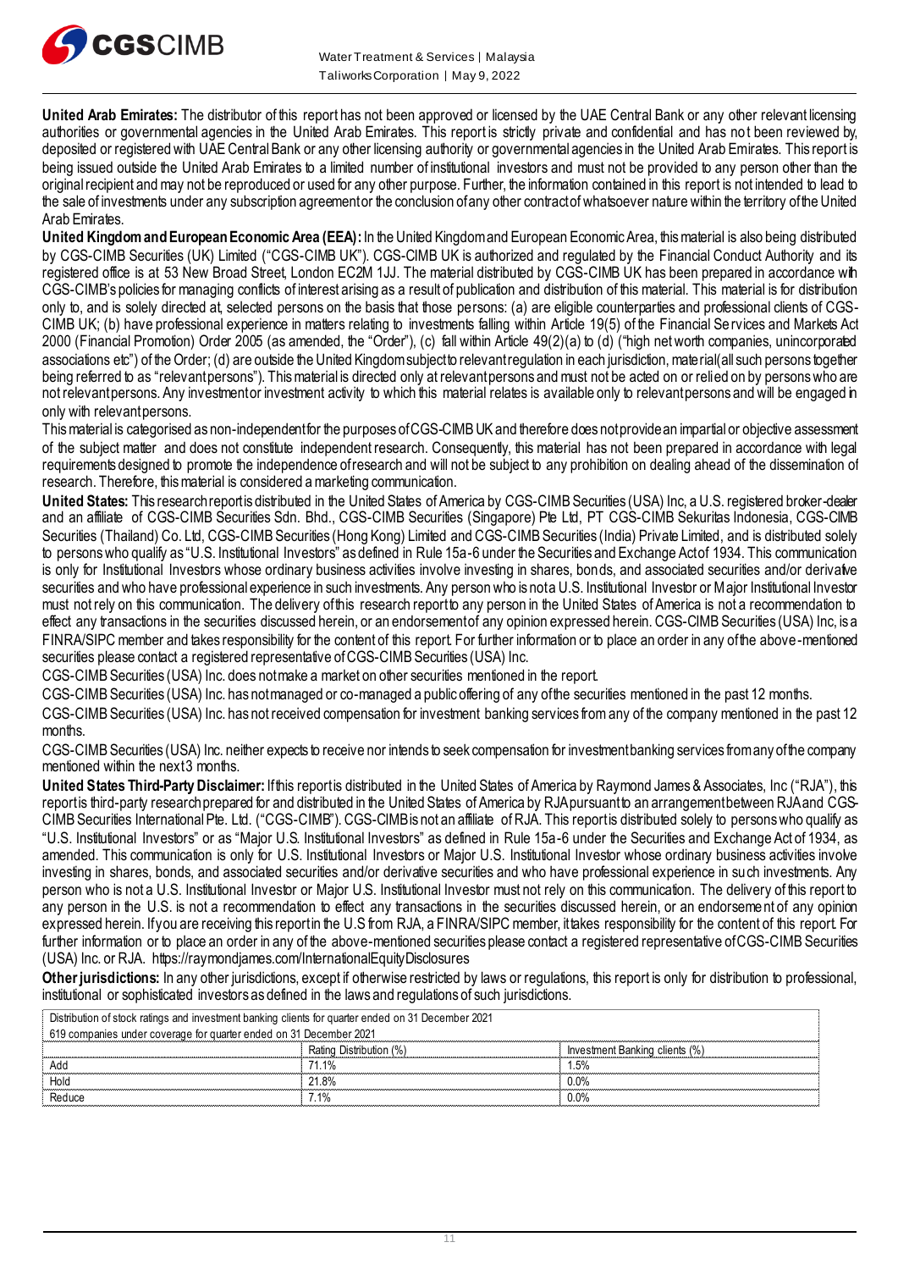

**United Arab Emirates:** The distributor of this report has not been approved or licensed by the UAE Central Bank or any other relevant licensing authorities or governmental agencies in the United Arab Emirates. This report is strictly private and confidential and has not been reviewed by, deposited or registered with UAE Central Bank or any other licensing authority or governmental agencies in the United Arab Emirates. This report is being issued outside the United Arab Emirates to a limited number of institutional investors and must not be provided to any person other than the original recipient and may not be reproduced or used for any other purpose. Further, the information contained in this report is not intended to lead to the sale of investments under any subscription agreement or the conclusion of any other contract of whatsoever nature within the territory of the United Arab Emirates.

**United Kingdom and European Economic Area (EEA):**In the United Kingdom and European Economic Area, this material is also being distributed by CGS-CIMB Securities (UK) Limited ("CGS-CIMB UK"). CGS-CIMB UK is authorized and regulated by the Financial Conduct Authority and its registered office is at 53 New Broad Street, London EC2M 1JJ. The material distributed by CGS-CIMB UK has been prepared in accordance with CGS-CIMB's policies for managing conflicts of interest arising as a result of publication and distribution of this material. This material is for distribution only to, and is solely directed at, selected persons on the basis that those persons: (a) are eligible counterparties and professional clients of CGS-CIMB UK; (b) have professional experience in matters relating to investments falling within Article 19(5) of the Financial Services and Markets Act 2000 (Financial Promotion) Order 2005 (as amended, the "Order"), (c) fall within Article 49(2)(a) to (d) ("high net worth companies, unincorporated associations etc") of the Order; (d) are outside the United Kingdom subject to relevant regulation in each jurisdiction, material(all such persons together being referred to as "relevant persons"). This material is directed only at relevant persons and must not be acted on or relied on by persons who are not relevant persons. Any investment or investment activity to which this material relates is available only to relevant persons and will be engaged in only with relevant persons.

This material is categorised as non-independent for the purposes of CGS-CIMB UK and therefore does not provide an impartial or objective assessment of the subject matter and does not constitute independent research. Consequently, this material has not been prepared in accordance with legal requirements designed to promote the independence of research and will not be subject to any prohibition on dealing ahead of the dissemination of research. Therefore, this material is considered a marketing communication.

United States: This research report is distributed in the United States of America by CGS-CIMB Securities (USA) Inc, a U.S. registered broker-dealer and an affiliate of CGS-CIMB Securities Sdn. Bhd., CGS-CIMB Securities (Singapore) Pte Ltd, PT CGS-CIMB Sekuritas Indonesia, CGS-CIMB Securities (Thailand) Co. Ltd, CGS-CIMB Securities (Hong Kong) Limited and CGS-CIMB Securities (India) Private Limited, and is distributed solely to persons who qualify as "U.S. Institutional Investors" as defined in Rule 15a-6 under the Securities and Exchange Act of 1934. This communication is only for Institutional Investors whose ordinary business activities involve investing in shares, bonds, and associated securities and/or derivative securities and who have professional experience in such investments. Any person who is not a U.S. Institutional Investor or Major Institutional Investor must not rely on this communication. The delivery of this research report to any person in the United States of America is not a recommendation to effect any transactions in the securities discussed herein, or an endorsement of any opinion expressed herein. CGS-CIMB Securities (USA) Inc, is a FINRA/SIPC member and takes responsibility for the content of this report. For further information or to place an order in any of the above-mentioned securities please contact a registered representative of CGS-CIMB Securities (USA) Inc.

CGS-CIMB Securities (USA) Inc. does not make a market on other securities mentioned in the report.

CGS-CIMB Securities (USA) Inc. has not managed or co-managed a public offering of any of the securities mentioned in the past 12 months.

CGS-CIMB Securities (USA) Inc. has not received compensation for investment banking services from any of the company mentioned in the past 12 months.

CGS-CIMB Securities (USA) Inc. neither expects to receive nor intends to seek compensation for investment banking services from any of the company mentioned within the next 3 months.

United States Third-Party Disclaimer: If this report is distributed in the United States of America by Raymond James & Associates, Inc ("RJA"), this report is third-party research prepared for and distributed in the United States of America by RJA pursuant to an arrangement between RJA and CGS-CIMB Securities International Pte. Ltd. ("CGS-CIMB"). CGS-CIMB is not an affiliate of RJA. This report is distributed solely to persons who qualify as "U.S. Institutional Investors" or as "Major U.S. Institutional Investors" as defined in Rule 15a-6 under the Securities and Exchange Act of 1934, as amended. This communication is only for U.S. Institutional Investors or Major U.S. Institutional Investor whose ordinary business activities involve investing in shares, bonds, and associated securities and/or derivative securities and who have professional experience in such investments. Any person who is not a U.S. Institutional Investor or Major U.S. Institutional Investor must not rely on this communication. The delivery of this report to any person in the U.S. is not a recommendation to effect any transactions in the securities discussed herein, or an endorsement of any opinion expressed herein. If you are receiving this report in the U.S from RJA, a FINRA/SIPC member, it takes responsibility for the content of this report. For further information or to place an order in any of the above-mentioned securities please contact a registered representative of CGS-CIMB Securities (USA) Inc. or RJA.<https://raymondjames.com/InternationalEquityDisclosures>

**Other jurisdictions:** In any other jurisdictions, except if otherwise restricted by laws or regulations, this report is only for distribution to professional, institutional or sophisticated investors as defined in the laws and regulations of such jurisdictions.

| Distribution of stock ratings and investment banking clients for quarter ended on 31 December 2021 |                         |                                |
|----------------------------------------------------------------------------------------------------|-------------------------|--------------------------------|
| 619 companies under coverage for quarter ended on 31 December 2021                                 |                         |                                |
|                                                                                                    | Rating Distribution (%) | Investment Banking clients (%) |
| Adc                                                                                                | 71 1%                   | 1.5%                           |
| Hold                                                                                               | 21.8%                   | $0.0\%$                        |
| Reduce                                                                                             | <b>71%</b>              | $0.0\%$                        |